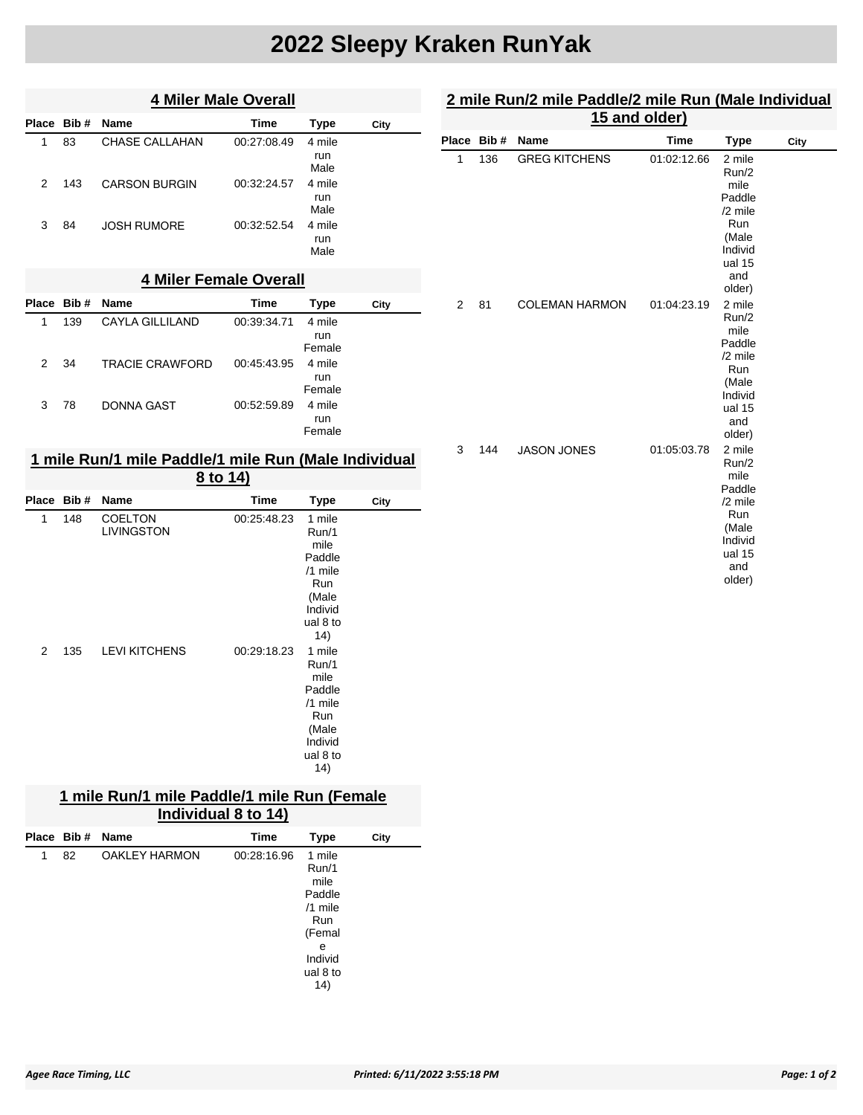# **2022 Sleepy Kraken RunYak**

|            | <b>4 Miler Male Overall</b>   |                      |             |                       |      |  |  |  |
|------------|-------------------------------|----------------------|-------------|-----------------------|------|--|--|--|
| Place Bib# |                               | <b>Name</b>          | Time        | Type                  | City |  |  |  |
| 1          | 83                            | CHASE CALLAHAN       | 00:27:08.49 | 4 mile<br>run<br>Male |      |  |  |  |
| 2          | 143                           | <b>CARSON BURGIN</b> | 00:32:24.57 | 4 mile<br>run<br>Male |      |  |  |  |
| 3          | 84                            | <b>JOSH RUMORE</b>   | 00:32:52.54 | 4 mile<br>run<br>Male |      |  |  |  |
|            | <b>4 Miler Female Overall</b> |                      |             |                       |      |  |  |  |

|   | Place Bib# | <b>Name</b>            | Time        | Type   | City |
|---|------------|------------------------|-------------|--------|------|
| 1 | 139        | CAYLA GILLILAND        | 00:39:34.71 | 4 mile |      |
|   |            |                        |             | run    |      |
|   |            |                        |             | Female |      |
| 2 | 34         | <b>TRACIE CRAWFORD</b> | 00:45:43.95 | 4 mile |      |
|   |            |                        |             | run    |      |
|   |            |                        |             | Female |      |
| 3 | 78         | <b>DONNA GAST</b>      | 00:52:59.89 | 4 mile |      |
|   |            |                        |             | run    |      |
|   |            |                        |             | Female |      |
|   |            |                        |             |        |      |

### **1 mile Run/1 mile Paddle/1 mile Run (Male Individual 8 to 14)**

|   | Place Bib# | <b>Name</b>                         | Time        | <b>Type</b>                                                                                   | City |
|---|------------|-------------------------------------|-------------|-----------------------------------------------------------------------------------------------|------|
| 1 | 148        | <b>COELTON</b><br><b>LIVINGSTON</b> | 00:25:48.23 | 1 mile<br>Run/1<br>mile<br>Paddle<br>/1 mile<br>Run<br>(Male<br>Individ<br>ual 8 to<br>(14)   |      |
| 2 | 135        | <b>LEVI KITCHENS</b>                | 00:29:18.23 | 1 mile<br>Run/1<br>mile<br>Paddle<br>$/1$ mile<br>Run<br>(Male<br>Individ<br>ual 8 to<br>(14) |      |

### **1 mile Run/1 mile Paddle/1 mile Run (Female Individual 8 to 14)**

|   | Place Bib# | Name                 | Time        | Type                                                                                               | City |
|---|------------|----------------------|-------------|----------------------------------------------------------------------------------------------------|------|
| 1 | 82         | <b>OAKLEY HARMON</b> | 00:28:16.96 | 1 mile<br>Run/1<br>mile<br>Paddle<br>$/1$ mile<br>Run<br>(Femal<br>е<br>Individ<br>ual 8 to<br>14) |      |

### **2 mile Run/2 mile Paddle/2 mile Run (Male Individual 15 and older)**

| Place Bib# | <b>Name</b>           | <b>Time</b> | <b>Type</b>                                                                                          | City |
|------------|-----------------------|-------------|------------------------------------------------------------------------------------------------------|------|
| 136        | <b>GREG KITCHENS</b>  | 01:02:12.66 | 2 mile<br>Run/2<br>mile<br>Paddle<br>$/2$ mile<br>Run<br>(Male<br>Individ<br>ual 15<br>and<br>older) |      |
| 81         | <b>COLEMAN HARMON</b> | 01:04:23.19 | 2 mile<br>Run/2<br>mile<br>Paddle<br>/2 mile<br>Run<br>(Male<br>Individ<br>ual 15<br>and<br>older)   |      |
| 144        | <b>JASON JONES</b>    | 01:05:03.78 | 2 mile<br>Run/2<br>mile<br>Paddle<br>$/2$ mile<br>Run<br>(Male<br>Individ<br>ual 15<br>and<br>older) |      |
|            |                       |             |                                                                                                      |      |